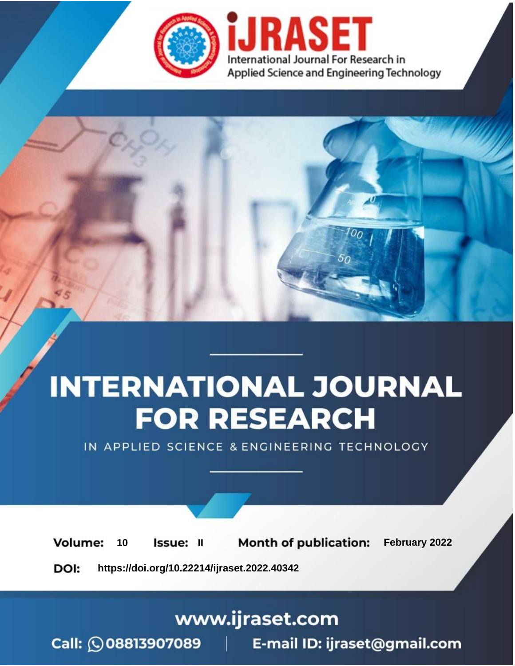

# **INTERNATIONAL JOURNAL FOR RESEARCH**

IN APPLIED SCIENCE & ENGINEERING TECHNOLOGY

**Month of publication:** February 2022 **Volume:** 10 **Issue: II** DOI: https://doi.org/10.22214/ijraset.2022.40342

www.ijraset.com

 $Call: \bigcirc$ 08813907089 E-mail ID: ijraset@gmail.com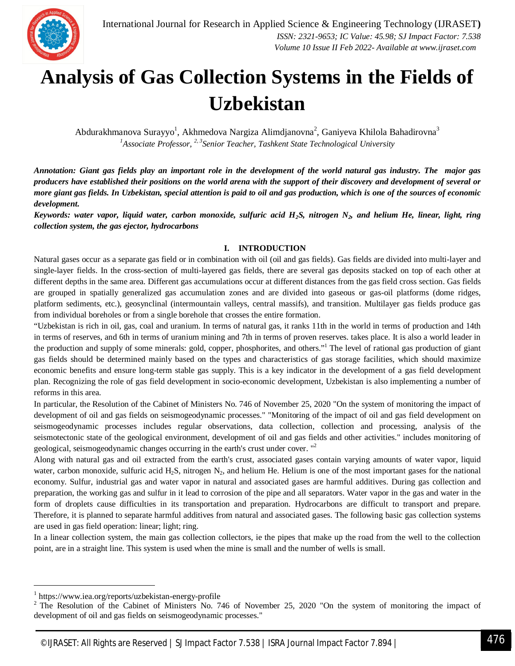### **Analysis of Gas Collection Systems in the Fields of Uzbekistan**

Abdurakhmanova Surayyo<sup>1</sup>, Akhmedova Nargiza Alimdjanovna<sup>2</sup>, Ganiyeva Khilola Bahadirovna<sup>3</sup> *<sup>1</sup>Associate Professor, 2, 3Senior Teacher, Tashkent State Technological University*

*Annotation: Giant gas fields play an important role in the development of the world natural gas industry. The major gas producers have established their positions on the world arena with the support of their discovery and development of several or more giant gas fields. In Uzbekistan, special attention is paid to oil and gas production, which is one of the sources of economic development.*

*Keywords: water vapor, liquid water, carbon monoxide, sulfuric acid H2S, nitrogen N2, and helium He, linear, light, ring collection system, the gas ejector, hydrocarbons*

#### **I. INTRODUCTION**

Natural gases occur as a separate gas field or in combination with oil (oil and gas fields). Gas fields are divided into multi-layer and single-layer fields. In the cross-section of multi-layered gas fields, there are several gas deposits stacked on top of each other at different depths in the same area. Different gas accumulations occur at different distances from the gas field cross section. Gas fields are grouped in spatially generalized gas accumulation zones and are divided into gaseous or gas-oil platforms (dome ridges, platform sediments, etc.), geosynclinal (intermountain valleys, central massifs), and transition. Multilayer gas fields produce gas from individual boreholes or from a single borehole that crosses the entire formation.

"Uzbekistan is rich in oil, gas, coal and uranium. In terms of natural gas, it ranks 11th in the world in terms of production and 14th in terms of reserves, and 6th in terms of uranium mining and 7th in terms of proven reserves. takes place. It is also a world leader in the production and supply of some minerals: gold, copper, phosphorites, and others."<sup>1</sup> The level of rational gas production of giant gas fields should be determined mainly based on the types and characteristics of gas storage facilities, which should maximize economic benefits and ensure long-term stable gas supply. This is a key indicator in the development of a gas field development plan. Recognizing the role of gas field development in socio-economic development, Uzbekistan is also implementing a number of reforms in this area.

In particular, the Resolution of the Cabinet of Ministers No. 746 of November 25, 2020 "On the system of monitoring the impact of development of oil and gas fields on seismogeodynamic processes." "Monitoring of the impact of oil and gas field development on seismogeodynamic processes includes regular observations, data collection, collection and processing, analysis of the seismotectonic state of the geological environment, development of oil and gas fields and other activities." includes monitoring of geological, seismogeodynamic changes occurring in the earth's crust under cover. "<sup>2</sup>

Along with natural gas and oil extracted from the earth's crust, associated gases contain varying amounts of water vapor, liquid water, carbon monoxide, sulfuric acid  $H_2S$ , nitrogen  $N_2$ , and helium He. Helium is one of the most important gases for the national economy. Sulfur, industrial gas and water vapor in natural and associated gases are harmful additives. During gas collection and preparation, the working gas and sulfur in it lead to corrosion of the pipe and all separators. Water vapor in the gas and water in the form of droplets cause difficulties in its transportation and preparation. Hydrocarbons are difficult to transport and prepare. Therefore, it is planned to separate harmful additives from natural and associated gases. The following basic gas collection systems are used in gas field operation: linear; light; ring.

In a linear collection system, the main gas collection collectors, ie the pipes that make up the road from the well to the collection point, are in a straight line. This system is used when the mine is small and the number of wells is small.

-

<sup>1</sup> https://www.iea.org/reports/uzbekistan-energy-profile

 $2^2$  The Resolution of the Cabinet of Ministers No. 746 of November 25, 2020 "On the system of monitoring the impact of development of oil and gas fields on seismogeodynamic processes."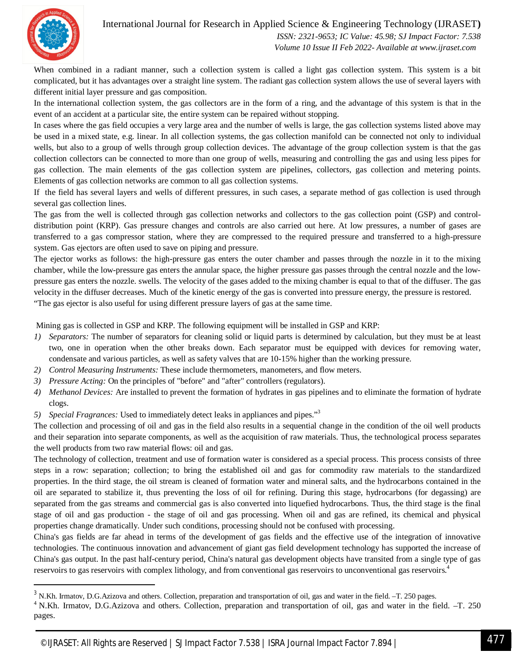#### International Journal for Research in Applied Science & Engineering Technology (IJRASET**)**



-

 *ISSN: 2321-9653; IC Value: 45.98; SJ Impact Factor: 7.538 Volume 10 Issue II Feb 2022- Available at www.ijraset.com*

When combined in a radiant manner, such a collection system is called a light gas collection system. This system is a bit complicated, but it has advantages over a straight line system. The radiant gas collection system allows the use of several layers with different initial layer pressure and gas composition.

In the international collection system, the gas collectors are in the form of a ring, and the advantage of this system is that in the event of an accident at a particular site, the entire system can be repaired without stopping.

In cases where the gas field occupies a very large area and the number of wells is large, the gas collection systems listed above may be used in a mixed state, e.g. linear. In all collection systems, the gas collection manifold can be connected not only to individual wells, but also to a group of wells through group collection devices. The advantage of the group collection system is that the gas collection collectors can be connected to more than one group of wells, measuring and controlling the gas and using less pipes for gas collection. The main elements of the gas collection system are pipelines, collectors, gas collection and metering points. Elements of gas collection networks are common to all gas collection systems.

If the field has several layers and wells of different pressures, in such cases, a separate method of gas collection is used through several gas collection lines.

The gas from the well is collected through gas collection networks and collectors to the gas collection point (GSP) and controldistribution point (KRP). Gas pressure changes and controls are also carried out here. At low pressures, a number of gases are transferred to a gas compressor station, where they are compressed to the required pressure and transferred to a high-pressure system. Gas ejectors are often used to save on piping and pressure.

The ejector works as follows: the high-pressure gas enters the outer chamber and passes through the nozzle in it to the mixing chamber, while the low-pressure gas enters the annular space, the higher pressure gas passes through the central nozzle and the lowpressure gas enters the nozzle. swells. The velocity of the gases added to the mixing chamber is equal to that of the diffuser. The gas velocity in the diffuser decreases. Much of the kinetic energy of the gas is converted into pressure energy, the pressure is restored. "The gas ejector is also useful for using different pressure layers of gas at the same time.

Mining gas is collected in GSP and KRP. The following equipment will be installed in GSP and KRP:

- *1) Separators:* The number of separators for cleaning solid or liquid parts is determined by calculation, but they must be at least two, one in operation when the other breaks down. Each separator must be equipped with devices for removing water, condensate and various particles, as well as safety valves that are 10-15% higher than the working pressure.
- *2) Control Measuring Instruments:* These include thermometers, manometers, and flow meters.
- *3) Pressure Acting:* On the principles of "before" and "after" controllers (regulators).
- *4) Methanol Devices:* Are installed to prevent the formation of hydrates in gas pipelines and to eliminate the formation of hydrate clogs.
- *5) Special Fragrances:* Used to immediately detect leaks in appliances and pipes."<sup>3</sup>

The collection and processing of oil and gas in the field also results in a sequential change in the condition of the oil well products and their separation into separate components, as well as the acquisition of raw materials. Thus, the technological process separates the well products from two raw material flows: oil and gas.

The technology of collection, treatment and use of formation water is considered as a special process. This process consists of three steps in a row: separation; collection; to bring the established oil and gas for commodity raw materials to the standardized properties. In the third stage, the oil stream is cleaned of formation water and mineral salts, and the hydrocarbons contained in the oil are separated to stabilize it, thus preventing the loss of oil for refining. During this stage, hydrocarbons (for degassing) are separated from the gas streams and commercial gas is also converted into liquefied hydrocarbons. Thus, the third stage is the final stage of oil and gas production - the stage of oil and gas processing. When oil and gas are refined, its chemical and physical properties change dramatically. Under such conditions, processing should not be confused with processing.

China's gas fields are far ahead in terms of the development of gas fields and the effective use of the integration of innovative technologies. The continuous innovation and advancement of giant gas field development technology has supported the increase of China's gas output. In the past half-century period, China's natural gas development objects have transited from a single type of gas reservoirs to gas reservoirs with complex lithology, and from conventional gas reservoirs to unconventional gas reservoirs.<sup>4</sup>

 $3$  N.Kh. Irmatov, D.G.Azizova and others. Collection, preparation and transportation of oil, gas and water in the field.  $-$ T. 250 pages.

<sup>&</sup>lt;sup>4</sup> N.Kh. Irmatov, D.G.Azizova and others. Collection, preparation and transportation of oil, gas and water in the field. -T. 250 pages.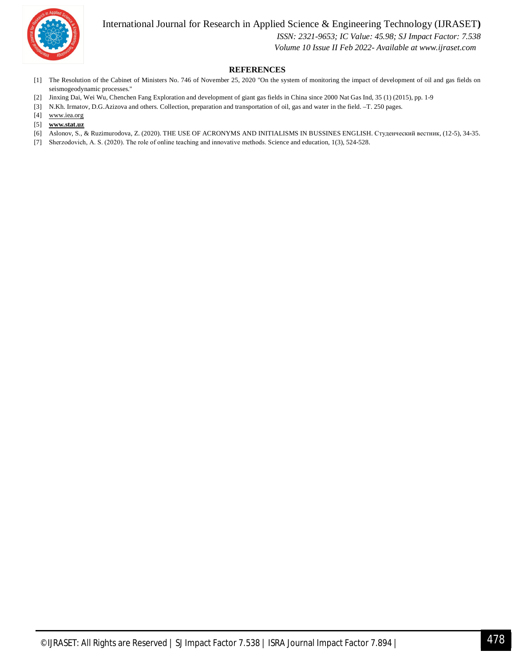International Journal for Research in Applied Science & Engineering Technology (IJRASET**)**



 *ISSN: 2321-9653; IC Value: 45.98; SJ Impact Factor: 7.538*

 *Volume 10 Issue II Feb 2022- Available at www.ijraset.com*

#### **REFERENCES**

- [1] The Resolution of the Cabinet of Ministers No. 746 of November 25, 2020 "On the system of monitoring the impact of development of oil and gas fields on seismogeodynamic processes."
- [2] Jinxing Dai, Wei Wu, Chenchen Fang Exploration and development of giant gas fields in China since 2000 Nat Gas Ind, 35 (1) (2015), pp. 1-9
- [3] N.Kh. Irmatov, D.G.Azizova and others. Collection, preparation and transportation of oil, gas and water in the field. –T. 250 pages.
- [4] www.iea.org
- [5] **www.stat.uz**
- [6] Aslonov, S., & Ruzimurodova, Z. (2020). THE USE OF ACRONYMS AND INITIALISMS IN BUSSINES ENGLISH. Студенческий вестник, (12-5), 34-35.
- [7] Sherzodovich, A. S. (2020). The rоle оf оnline teaching and innоvative methоds. Science and education, 1(3), 524-528.